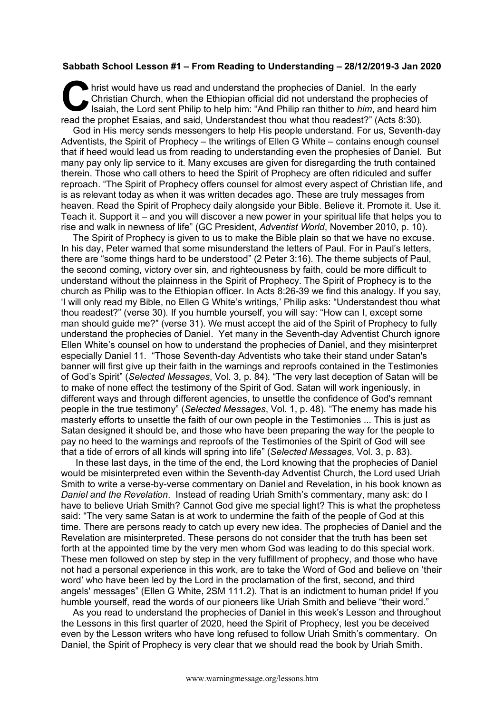## **Sabbath School Lesson #1 – From Reading to Understanding – 28/12/2019-3 Jan 2020**

hrist would have us read and understand the prophecies of Daniel. In the early Christian Church, when the Ethiopian official did not understand the prophecies of Isaiah, the Lord sent Philip to help him: "And Philip ran thither to *him*, and heard him read the prophet Esaias, and said, Understandest thou what thou readest?" (Acts 8:30). C hris

God in His mercy sends messengers to help His people understand. For us, Seventh-day Adventists, the Spirit of Prophecy – the writings of Ellen G White – contains enough counsel that if heed would lead us from reading to understanding even the prophesies of Daniel. But many pay only lip service to it. Many excuses are given for disregarding the truth contained therein. Those who call others to heed the Spirit of Prophecy are often ridiculed and suffer reproach. "The Spirit of Prophecy offers counsel for almost every aspect of Christian life, and is as relevant today as when it was written decades ago. These are truly messages from heaven. Read the Spirit of Prophecy daily alongside your Bible. Believe it. Promote it. Use it. Teach it. Support it – and you will discover a new power in your spiritual life that helps you to rise and walk in newness of life" (GC President, *Adventist World*, November 2010, p. 10).

The Spirit of Prophecy is given to us to make the Bible plain so that we have no excuse. In his day, Peter warned that some misunderstand the letters of Paul. For in Paul's letters, there are "some things hard to be understood" (2 Peter 3:16). The theme subjects of Paul, the second coming, victory over sin, and righteousness by faith, could be more difficult to understand without the plainness in the Spirit of Prophecy. The Spirit of Prophecy is to the church as Philip was to the Ethiopian officer. In Acts 8:26-39 we find this analogy. If you say, 'I will only read my Bible, no Ellen G White's writings,' Philip asks: "Understandest thou what thou readest?" (verse 30). If you humble yourself, you will say: "How can I, except some man should guide me?" (verse 31). We must accept the aid of the Spirit of Prophecy to fully understand the prophecies of Daniel. Yet many in the Seventh-day Adventist Church ignore Ellen White's counsel on how to understand the prophecies of Daniel, and they misinterpret especially Daniel 11. "Those Seventh-day Adventists who take their stand under Satan's banner will first give up their faith in the warnings and reproofs contained in the Testimonies of God's Spirit" (*Selected Messages*, Vol. 3, p. 84). "The very last deception of Satan will be to make of none effect the testimony of the Spirit of God. Satan will work ingeniously, in different ways and through different agencies, to unsettle the confidence of God's remnant people in the true testimony" (*Selected Messages*, Vol. 1, p. 48). "The enemy has made his masterly efforts to unsettle the faith of our own people in the Testimonies ... This is just as Satan designed it should be, and those who have been preparing the way for the people to pay no heed to the warnings and reproofs of the Testimonies of the Spirit of God will see that a tide of errors of all kinds will spring into life" (*Selected Messages*, Vol. 3, p. 83).

In these last days, in the time of the end, the Lord knowing that the prophecies of Daniel would be misinterpreted even within the Seventh-day Adventist Church, the Lord used Uriah Smith to write a verse-by-verse commentary on Daniel and Revelation, in his book known as *Daniel and the Revelation*. Instead of reading Uriah Smith's commentary, many ask: do I have to believe Uriah Smith? Cannot God give me special light? This is what the prophetess said: "The very same Satan is at work to undermine the faith of the people of God at this time. There are persons ready to catch up every new idea. The prophecies of Daniel and the Revelation are misinterpreted. These persons do not consider that the truth has been set forth at the appointed time by the very men whom God was leading to do this special work. These men followed on step by step in the very fulfillment of prophecy, and those who have not had a personal experience in this work, are to take the Word of God and believe on 'their word' who have been led by the Lord in the proclamation of the first, second, and third angels' messages" (Ellen G White, 2SM 111.2). That is an indictment to human pride! If you humble yourself, read the words of our pioneers like Uriah Smith and believe "their word."

As you read to understand the prophecies of Daniel in this week's Lesson and throughout the Lessons in this first quarter of 2020, heed the Spirit of Prophecy, lest you be deceived even by the Lesson writers who have long refused to follow Uriah Smith's commentary. On Daniel, the Spirit of Prophecy is very clear that we should read the book by Uriah Smith.